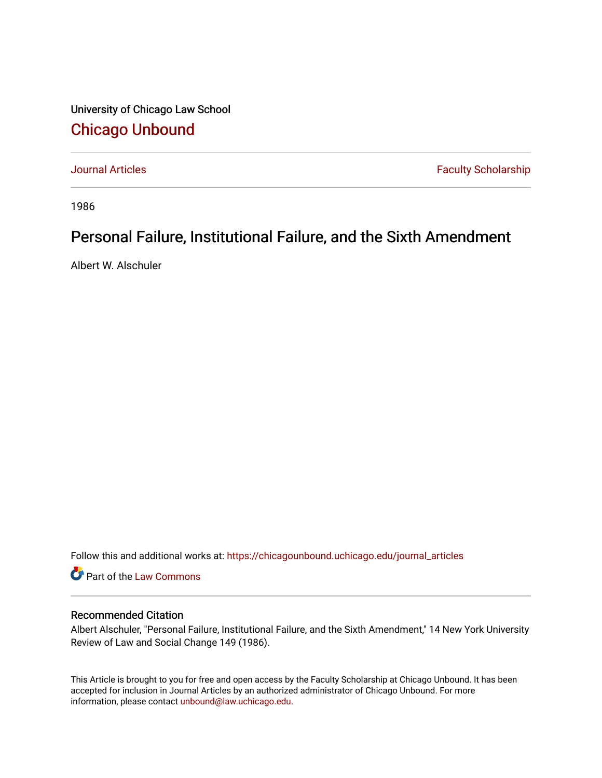University of Chicago Law School [Chicago Unbound](https://chicagounbound.uchicago.edu/)

[Journal Articles](https://chicagounbound.uchicago.edu/journal_articles) **Faculty Scholarship Journal Articles** 

1986

## Personal Failure, Institutional Failure, and the Sixth Amendment

Albert W. Alschuler

Follow this and additional works at: [https://chicagounbound.uchicago.edu/journal\\_articles](https://chicagounbound.uchicago.edu/journal_articles?utm_source=chicagounbound.uchicago.edu%2Fjournal_articles%2F1003&utm_medium=PDF&utm_campaign=PDFCoverPages) 

Part of the [Law Commons](http://network.bepress.com/hgg/discipline/578?utm_source=chicagounbound.uchicago.edu%2Fjournal_articles%2F1003&utm_medium=PDF&utm_campaign=PDFCoverPages)

## Recommended Citation

Albert Alschuler, "Personal Failure, Institutional Failure, and the Sixth Amendment," 14 New York University Review of Law and Social Change 149 (1986).

This Article is brought to you for free and open access by the Faculty Scholarship at Chicago Unbound. It has been accepted for inclusion in Journal Articles by an authorized administrator of Chicago Unbound. For more information, please contact [unbound@law.uchicago.edu](mailto:unbound@law.uchicago.edu).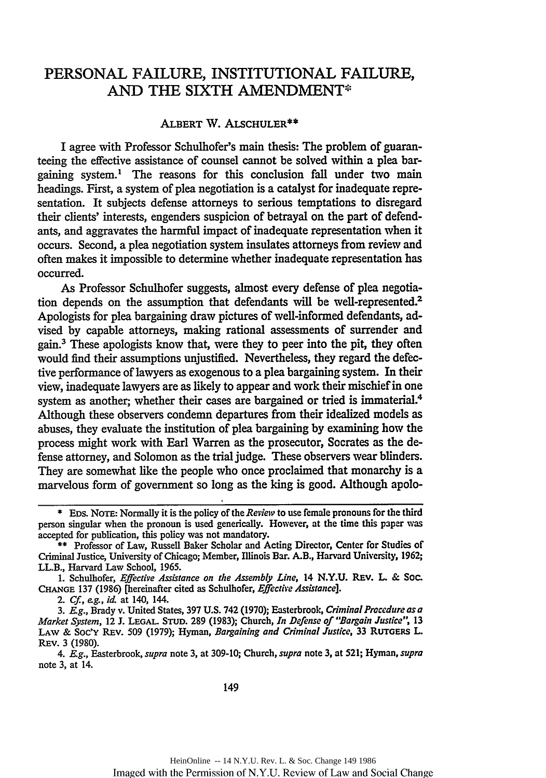## PERSONAL FAILURE, INSTITUTIONAL FAILURE, AND THE SIXTH AMENDMENT\*

## ALBERT W. ALSCHULER\*\*

I agree with Professor Schulhofer's main thesis: The problem of guaranteeing the effective assistance of counsel cannot be solved within a plea bargaining system.' The reasons for this conclusion fall under two main headings. First, a system of plea negotiation is a catalyst for inadequate representation. It subjects defense attorneys to serious temptations to disregard their clients' interests, engenders suspicion of betrayal on the part of defendants, and aggravates the harmful impact of inadequate representation when it occurs. Second, a plea negotiation system insulates attorneys from review and often makes it impossible to determine whether inadequate representation has occurred.

As Professor Schulhofer suggests, almost every defense of plea negotiation depends on the assumption that defendants will be well-represented.<sup>2</sup> Apologists for plea bargaining draw pictures of well-informed defendants, advised by capable attorneys, making rational assessments of surrender and gain.3 These apologists know that, were they to peer into the pit, they often would find their assumptions unjustified. Nevertheless, they regard the defective performance of lawyers as exogenous to a plea bargaining system. In their view, inadequate lawyers are as likely to appear and work their mischief in one system as another; whether their cases are bargained or tried is immaterial.<sup>4</sup> Although these observers condemn departures from their idealized models as abuses, they evaluate the institution of plea bargaining by examining how the process might work with Earl Warren as the prosecutor, Socrates as the defense attorney, and Solomon as the trial judge. These observers wear blinders. They are somewhat like the people who once proclaimed that monarchy is a marvelous form of government so long as the king is good. Although apolo-

2. *Cf., ag.,* **id.** at 140, 144.

4. *E.g.,* Easterbrook, *supra* note **3,** at **309-10;** Church, *supra* note **3,** at **521;** Hyman, *supra* note **3,** at 14.

**<sup>\*</sup> EDS. NoTE:** Normally it is the policy of the *Review* to use female pronouns for the third person singular when the pronoun is used generically. However, **at the time this paper was** accepted for publication, this policy was not mandatory.

**<sup>\*\*</sup>** Professor of Law, Russell Baker Scholar and Acting Director, Center for Studies of Criminal Justice, University of Chicago; Member, Illinois Bar. A.B., Harvard University, **1962;** LL.B., Harvard Law School, **1965.**

**<sup>1.</sup>** Schulhofer, *Effective Assistance on the Assembly Line,* 14 **N.Y.U.** REV. L. & **Sac. CHANGE 137 (1986)** [hereinafter cited as Schulhofer, *Effective Assistance].*

**<sup>3.</sup>** *Eg.,* Brady v. United States, **397 U.S.** 742 **(1970);** Easterbrook, *Criminal Procedure as a Market System,* **12** J. **LEGAL** STUD. **289 (1983);** Church, *In Defense of "Bargain Justice",* **13 LAW** & Soc'Y REv. **509 (1979);** Hyman, *Bargaining and Criminal Justice,* **33 RuTGERS L** REv. **3 (1980).**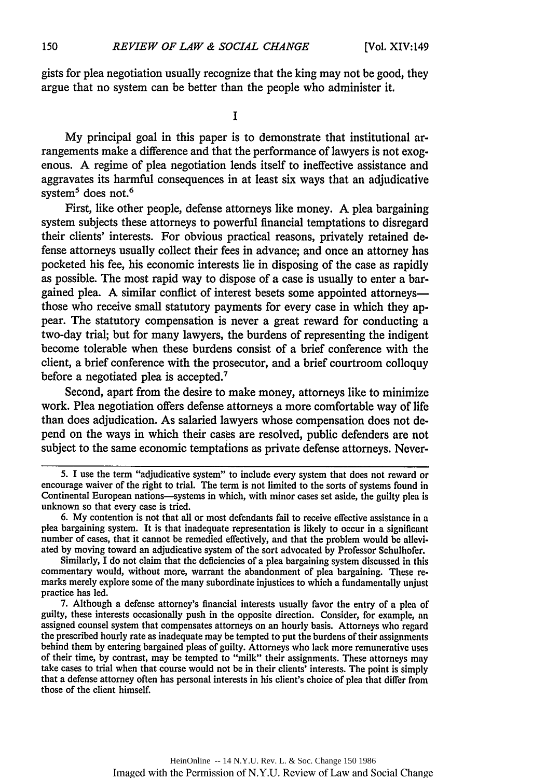gists for plea negotiation usually recognize that the king may not be good, they argue that no system can be better than the people who administer it.

**I**

My principal goal in this paper is to demonstrate that institutional arrangements make a difference and that the performance of lawyers is not exogenous. A regime of plea negotiation lends itself to ineffective assistance and aggravates its harmful consequences in at least six ways that an adjudicative system<sup>5</sup> does not.<sup>6</sup>

First, like other people, defense attorneys like money. A plea bargaining system subjects these attorneys to powerful financial temptations to disregard their clients' interests. For obvious practical reasons, privately retained defense attorneys usually collect their fees in advance; and once an attorney has pocketed his fee, his economic interests lie in disposing of the case as rapidly as possible. The most rapid way to dispose of a case is usually to enter a bargained plea. A similar conflict of interest besets some appointed attorneys those who receive small statutory payments for every case in which they appear. The statutory compensation is never a great reward for conducting a two-day trial; but for many lawyers, the burdens of representing the indigent become tolerable when these burdens consist of a brief conference with the client, a brief conference with the prosecutor, and a brief courtroom colloquy before a negotiated plea is accepted.'

Second, apart from the desire to make money, attorneys like to minimize work. Plea negotiation offers defense attorneys a more comfortable way of life than does adjudication. As salaried lawyers whose compensation does not depend on the ways in which their cases are resolved, public defenders are not subject to the same economic temptafions as private defense attorneys. Never-

Similarly, I do not claim that the deficiencies of a plea bargaining system discussed in this commentary would, without more, warrant the abandonment of plea bargaining. These remarks merely explore some of the many subordinate injustices to which a fundamentally unjust practice has led.

7. Although a defense attorney's financial interests usually favor the entry of a plea of guilty, these interests occasionally push in the opposite direction. Consider, for example, an assigned counsel system that compensates attorneys on an hourly basis. Attorneys who regard the prescribed hourly rate as inadequate may be tempted to put the burdens of their assignments behind them by entering bargained pleas of guilty. Attorneys who lack more remunerative uses of their time, by contrast, may be tempted to "milk" their assignments. These attorneys may take cases to trial when that course would not be in their clients' interests. The point is simply that a defense attorney often has personal interests in his client's choice of plea that differ from those of the client himself.

<sup>5.</sup> I use the term "adjudicative system" to include every system that does not reward or encourage waiver of the right to trial. The term is not limited to the sorts of systems found in Continental European nations—systems in which, with minor cases set aside, the guilty plea is unknown so that every case is tried.

<sup>6.</sup> My contention is not that all or most defendants fail to receive effective assistance in a plea bargaining system. It is that inadequate representation is likely to occur in a significant number of cases, that it cannot be remedied effectively, and that the problem would **be** alleviated by moving toward an adjudicative system of the sort advocated by Professor Schulhofer.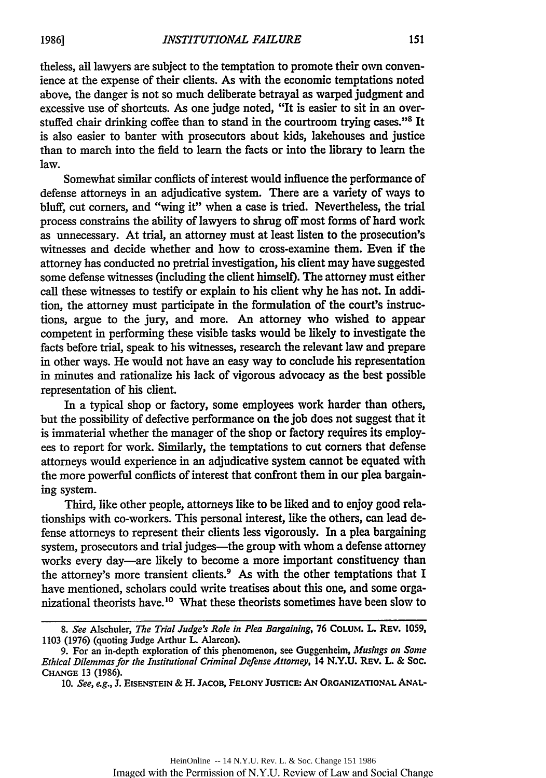theless, all lawyers are subject to the temptation to promote their own convenience at the expense of their clients. As with the economic temptations noted above, the danger is not so much deliberate betrayal as warped judgment and excessive use of shortcuts. As one judge noted, "It is easier to sit in an overstuffed chair drinking coffee than to stand in the courtroom trying cases."<sup>8</sup> It is also easier to banter with prosecutors about kids, lakehouses and justice than to march into the field to learn the facts or into the library to learn the law.

Somewhat similar conflicts of interest would influence the performance of defense attorneys in an adjudicative system. There are a variety of ways to bluff, cut corners, and "wing it" when a case is tried. Nevertheless, the trial process constrains the ability of lawyers to shrug off most forms of hard work as unnecessary. At trial, an attorney must at least listen to the prosecution's witnesses and decide whether and how to cross-examine them. Even if the attorney has conducted no pretrial investigation, his client may have suggested some defense witnesses (including the client himself). The attorney must either call these witnesses to testify or explain to his client why he has not. In addition, the attorney must participate in the formulation of the court's instructions, argue to the jury, and more. An attorney who wished to appear competent in performing these visible tasks would be likely to investigate the facts before trial, speak to his witnesses, research the relevant law and prepare in other ways. He would not have an easy way to conclude his representation in minutes and rationalize his lack of vigorous advocacy as the best possible representation of his client.

In a typical shop or factory, some employees work harder than others, but the possibility of defective performance on the job does not suggest that it is immaterial whether the manager of the shop or factory requires its employees to report for work. Similarly, the temptations to cut corners that defense attorneys would experience in an adjudicative system cannot be equated with the more powerful conflicts of interest that confront them in our plea bargaining system.

Third, like other people, attorneys like to be liked and to enjoy good relationships with co-workers. This personal interest, like the others, can lead defense attorneys to represent their clients less vigorously. In a plea bargaining system, prosecutors and trial judges-the group with whom a defense attorney works every day-are likely to become a more important constituency than the attorney's more transient clients.<sup>9</sup> As with the other temptations that I have mentioned, scholars could write treatises about this one, and some organizational theorists have.<sup>10</sup> What these theorists sometimes have been slow to

*<sup>8.</sup> See* Alschuler, *The Trial Judge's Role in Plea Bargaining,* 76 **COLUtM.** L. REv. 1059, 1103 (1976) (quoting Judge Arthur L. Alarcon).

<sup>9.</sup> For an in-depth exploration of this phenomenon, see Guggenheim, *Musings on Some Ethical Dilemmas for the Institutional Criminal Defense Attorney,* 14 **N.Y.U.** REV. L & Soc. **CHANGE** 13 (1986).

**<sup>10.</sup>** *See, eg.,* **J. EISENSTEIN** & H. **JACOB, FELONY JusTicE: AN ORGANIZATIONAL ANAL-**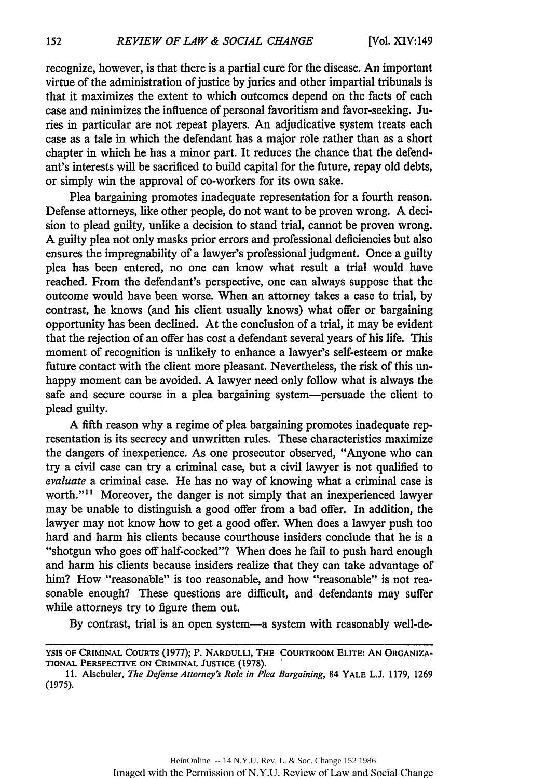recognize, however, is that there is a partial cure for the disease. An important virtue of the administration of justice by juries and other impartial tribunals is that it maximizes the extent to which outcomes depend on the facts of each case and minimizes the influence of personal favoritism and favor-seeking. Juries in particular are not repeat players. An adjudicative system treats each case as a tale in which the defendant has a major role rather than as a short chapter in which he has a minor part. It reduces the chance that the defendant's interests will be sacrificed to build capital for the future, repay old debts, or simply win the approval of co-workers for its own sake.

Plea bargaining promotes inadequate representation for a fourth reason. Defense attorneys, like other people, do not want to be proven wrong. A decision to plead guilty, unlike a decision to stand trial, cannot be proven wrong. A guilty plea not only masks prior errors and professional deficiencies but also ensures the impregnability of a lawyer's professional judgment. Once a guilty plea has been entered, no one can know what result a trial would have reached. From the defendant's perspective, one can always suppose that the outcome would have been worse. When an attorney takes a case to trial, by contrast, he knows (and his client usually knows) what offer or bargaining opportunity has been declined. At the conclusion of a trial, it may be evident that the rejection of an offer has cost a defendant several years of his life. This moment of recognition is unlikely to enhance a lawyer's self-esteem or make future contact with the client more pleasant. Nevertheless, the risk of this unhappy moment can be avoided. A lawyer need only follow what is always the safe and secure course in a plea bargaining system-persuade the client to plead guilty.

A fifth reason why a regime of plea bargaining promotes inadequate representation is its secrecy and unwritten rules. These characteristics maximize the dangers of inexperience. As one prosecutor observed, "Anyone who can try a civil case can try a criminal case, but a civil lawyer is not qualified to *evaluate* a criminal case. He has no way of knowing what a criminal case is worth."<sup>11</sup> Moreover, the danger is not simply that an inexperienced lawyer may be unable to distinguish a good offer from a bad offer. In addition, the lawyer may not know how to get a good offer. When does a lawyer push too hard and harm his clients because courthouse insiders conclude that he is a "shotgun who goes off half-cocked"? When does he fail to push hard enough and harm his clients because insiders realize that they can take advantage of him? How "reasonable" is too reasonable, and how "reasonable" is not reasonable enough? These questions are difficult, and defendants may suffer while attorneys try to figure them out.

By contrast, trial is an open system-a system with reasonably well-de-

**YSIS** OF **CRIMINAL COURTS** (1977); P. **NARDULLI, THE COURTROOM ELITE: AN ORGANIZA-TIONAL PERSPECTIVE ON CRIMINAL JUSTICE (1978).**

**<sup>11.</sup>** Alschuler, *The Defense Attorney's Role in Plea Bargaining,* 84 YALE L.J. 1179, 1269 (1975).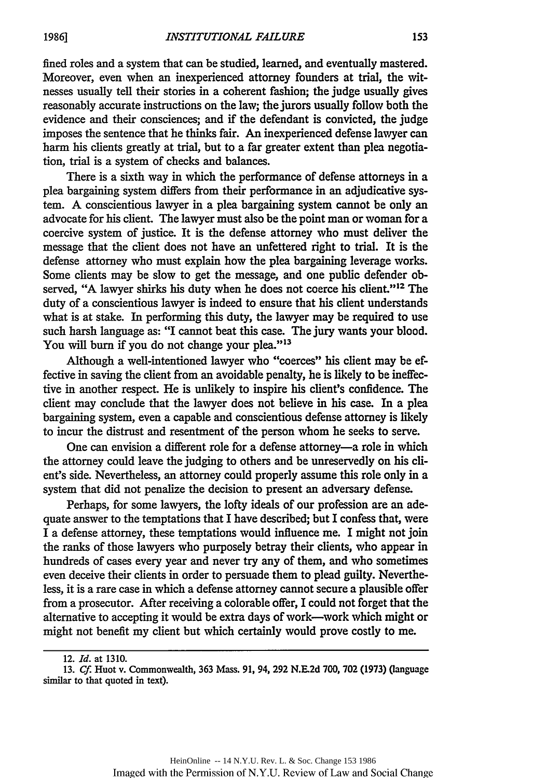fined roles and a system that can be studied, learned, and eventually mastered. Moreover, even when an inexperienced attorney founders at trial, the witnesses usually tell their stories in a coherent fashion; the judge usually gives reasonably accurate instructions on the law; the jurors usually follow both the evidence and their consciences; and if the defendant is convicted, the judge imposes the sentence that he thinks fair. An inexperienced defense lawyer can harm his clients greatly at trial, but to a far greater extent than plea negotiation, trial is a system of checks and balances.

There is a sixth way in which the performance of defense attorneys in a plea bargaining system differs from their performance in an adjudicative system. A conscientious lawyer in a plea bargaining system cannot be only an advocate for his client. The lawyer must also be the point man or woman for a coercive system of justice. It is the defense attorney who must deliver the message that the client does not have an unfettered right to trial. It is the defense attorney who must explain how the plea bargaining leverage works. Some clients may be slow to get the message, and one public defender observed, "A lawyer shirks his duty when he does not coerce his client."<sup>12</sup> The duty of a conscientious lawyer is indeed to ensure that his client understands what is at stake. In performing this duty, the lawyer may be required to use such harsh language as: "I cannot beat this case. The jury wants your blood. You will burn if you do not change your plea."<sup>13</sup>

Although a well-intentioned lawyer who "coerces" his client may be effective in saving the client from an avoidable penalty, he is likely to be ineffective in another respect. He is unlikely to inspire his client's confidence. The client may conclude that the lawyer does not believe in his case. In a plea bargaining system, even a capable and conscientious defense attorney is likely to incur the distrust and resentment of the person whom he seeks to serve.

One can envision a different role for a defense attorney-a role in which the attorney could leave the judging to others and be unreservedly on his client's side. Nevertheless, an attorney could properly assume this role only in a system that did not penalize the decision to present an adversary defense.

Perhaps, for some lawyers, the lofty ideals of our profession are an adequate answer to the temptations that I have described; but I confess that, were I a defense attorney, these temptations would influence me. I might not join the ranks of those lawyers who purposely betray their clients, who appear in hundreds of cases every year and never try any of them, and who sometimes even deceive their clients in order to persuade them to plead guilty. Nevertheless, it is a rare case in which a defense attorney cannot secure a plausible offer from a prosecutor. After receiving a colorable offer, I could not forget that the alternative to accepting it would be extra days of work-work which might or might not benefit my client but which certainly would prove costly to me.

<sup>12.</sup> *Id.* at 1310.

**<sup>13.</sup>** *Cf.* Huot v. Commonwealth, **363** Mass. **91,** 94, **292 N.E.2d 700, 702 (1973)** (language similar to that quoted in text).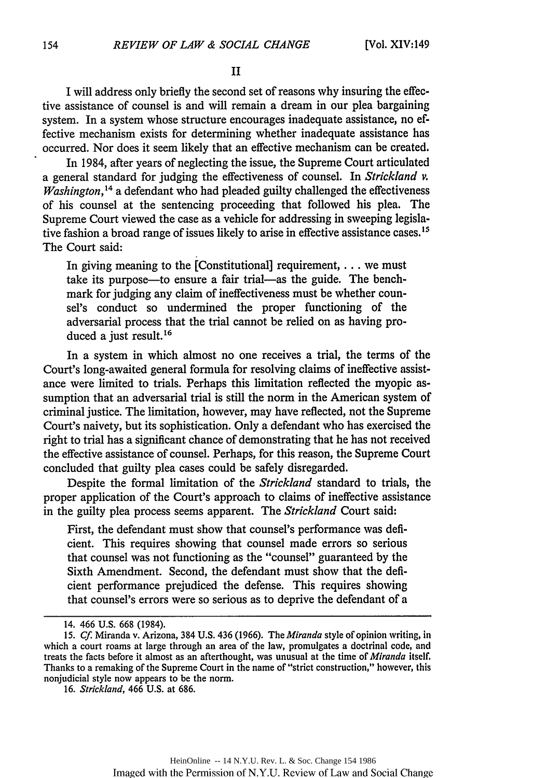II

I will address only briefly the second set of reasons why insuring the effective assistance of counsel is and will remain a dream in our plea bargaining system. In a system whose structure encourages inadequate assistance, no effective mechanism exists for determining whether inadequate assistance has occurred. Nor does it seem likely that an effective mechanism can be created.

In 1984, after years of neglecting the issue, the Supreme Court articulated a general standard for judging the effectiveness of counsel. In *Strickland v. Washington*,<sup>14</sup> a defendant who had pleaded guilty challenged the effectiveness of his counsel at the sentencing proceeding that followed his plea. The Supreme Court viewed the case as a vehicle for addressing in sweeping legislative fashion a broad range of issues likely to arise in effective assistance cases.<sup>15</sup> The Court said:

In giving meaning to the [Constitutional] requirement, **...** we must take its purpose-to ensure a fair trial-as the guide. The benchmark for judging any claim of ineffectiveness must be whether counsel's conduct so undermined the proper functioning of the adversarial process that the trial cannot be relied on as having produced a just result.<sup>16</sup>

In a system in which almost no one receives a trial, the terms of the Court's long-awaited general formula for resolving claims of ineffective assistance were limited to trials. Perhaps this limitation reflected the myopic assumption that an adversarial trial is still the norm in the American system of criminal justice. The limitation, however, may have reflected, not the Supreme Court's naivety, but its sophistication. Only a defendant who has exercised the right to trial has a significant chance of demonstrating that he has not received the effective assistance of counsel. Perhaps, for this reason, the Supreme Court concluded that guilty plea cases could be safely disregarded.

Despite the formal limitation of the *Strickland* standard to trials, the proper application of the Court's approach to claims of ineffective assistance in the guilty plea process seems apparent. The *Strickland* Court said:

First, the defendant must show that counsel's performance was deficient. This requires showing that counsel made errors so serious that counsel was not functioning as the "counsel" guaranteed by the Sixth Amendment. Second, the defendant must show that the deficient performance prejudiced the defense. This requires showing that counsel's errors were so serious as to deprive the defendant of a

<sup>14. 466</sup> U.S. 668 (1984).

<sup>15.</sup> *Cf* Miranda v. Arizona, 384 U.S. 436 (1966). The *Miranda* style of opinion writing, in which a court roams at large through an area of the law, promulgates a doctrinal code, and treats the facts before it almost as an afterthought, was unusual at the time of *Miranda* itself. Thanks to a remaking of the Supreme Court in the name of "strict construction," however, this nonjudicial style now appears to be the norm.

<sup>16.</sup> Strickland, 466 U.S. at 686.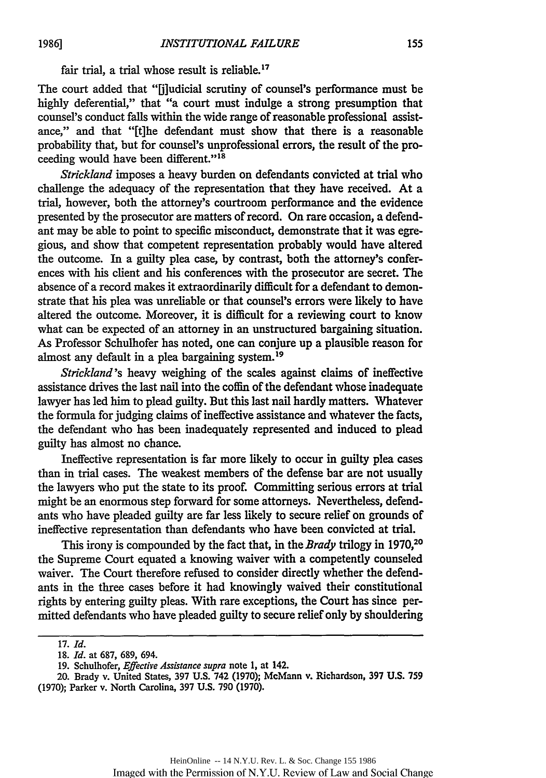fair trial, a trial whose result is reliable.<sup>17</sup>

The court added that "[j]udicial scrutiny of counsel's performance must be highly deferential," that "a court must indulge a strong presumption that counsel's conduct falls within the wide range of reasonable professional assistance," and that "[t]he defendant must show that there is a reasonable probability that, but for counsel's unprofessional errors, the result of the proceeding would have been different." <sup>18</sup>

*Strickland* imposes a heavy burden on defendants convicted at trial who challenge the adequacy of the representation that they have received. At a trial, however, both the attorney's courtroom performance and the evidence presented by the prosecutor are matters of record. On rare occasion, a defendant may be able to point to specific misconduct, demonstrate that it was egregious, and show that competent representation probably would have altered the outcome. In a guilty plea case, by contrast, both the attorney's conferences with his client and his conferences with the prosecutor are secret. The absence of a record makes it extraordinarily difficult for a defendant to demonstrate that his plea was unreliable or that counsel's errors were likely to have altered the outcome. Moreover, it is difficult for a reviewing court to know what can be expected of an attorney in an unstructured bargaining situation. As Professor Schulhofer has noted, one can conjure up a plausible reason for almost any default in a plea bargaining system. <sup>19</sup>

*Strickland's* heavy weighing of the scales against claims of ineffective assistance drives the last nail into the coffin of the defendant whose inadequate lawyer has led him to plead guilty. But this last nail hardly matters. Whatever the formula for judging claims of ineffective assistance and whatever the facts, the defendant who has been inadequately represented and induced to plead guilty has almost no chance.

Ineffective representation is far more likely to occur in guilty plea cases than in trial cases. The weakest members of the defense bar are not usually the lawyers who put the state to its proof. Committing serious errors at trial might be an enormous step forward for some attorneys. Nevertheless, defendants who have pleaded guilty are far less likely to secure relief on grounds of ineffective representation than defendants who have been convicted at trial.

This irony is compounded by the fact that, in the *Brady* trilogy in **1970,20** the Supreme Court equated a knowing waiver with a competently counseled waiver. The Court therefore refused to consider directly whether the defendants in the three cases before it had knowingly waived their constitutional rights by entering guilty pleas. With rare exceptions, the Court has since permitted defendants who have pleaded guilty to secure relief only by shouldering

<sup>17.</sup> *Id.*

<sup>18.</sup> *Id.* at 687, 689, 694.

<sup>19.</sup> Schulhofer, *Effective Assistance supra* note 1, at 142.

<sup>20.</sup> Brady v. United States, 397 **U.S.** 742 **(1970);** McMann v. Richardson, **397 U.S. 759** (1970); Parker v. North Carolina, 397 **U.S.** 790 (1970).